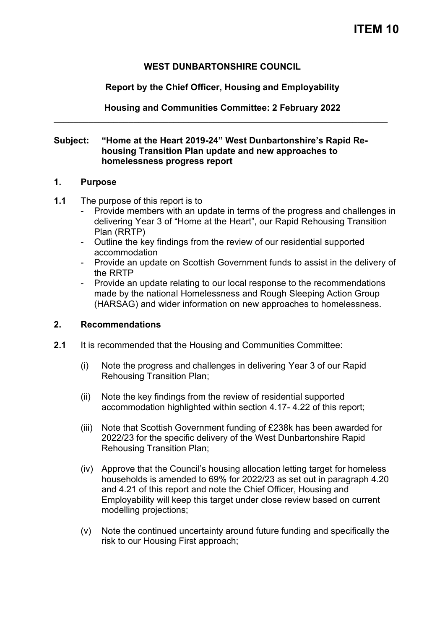# **WEST DUNBARTONSHIRE COUNCIL**

## **Report by the Chief Officer, Housing and Employability**

**Housing and Communities Committee: 2 February 2022**  \_\_\_\_\_\_\_\_\_\_\_\_\_\_\_\_\_\_\_\_\_\_\_\_\_\_\_\_\_\_\_\_\_\_\_\_\_\_\_\_\_\_\_\_\_\_\_\_\_\_\_\_\_\_\_\_\_\_\_\_\_\_\_\_\_\_\_

#### **Subject: "Home at the Heart 2019-24" West Dunbartonshire's Rapid Rehousing Transition Plan update and new approaches to homelessness progress report**

#### **1. Purpose**

- **1.1** The purpose of this report is to
	- Provide members with an update in terms of the progress and challenges in delivering Year 3 of "Home at the Heart", our Rapid Rehousing Transition Plan (RRTP)
	- Outline the key findings from the review of our residential supported accommodation
	- Provide an update on Scottish Government funds to assist in the delivery of the RRTP
	- Provide an update relating to our local response to the recommendations made by the national Homelessness and Rough Sleeping Action Group (HARSAG) and wider information on new approaches to homelessness.

#### **2. Recommendations**

- **2.1** It is recommended that the Housing and Communities Committee:
	- (i) Note the progress and challenges in delivering Year 3 of our Rapid Rehousing Transition Plan;
	- (ii) Note the key findings from the review of residential supported accommodation highlighted within section 4.17- 4.22 of this report;
	- (iii) Note that Scottish Government funding of £238k has been awarded for 2022/23 for the specific delivery of the West Dunbartonshire Rapid Rehousing Transition Plan;
	- (iv) Approve that the Council's housing allocation letting target for homeless households is amended to 69% for 2022/23 as set out in paragraph 4.20 and 4.21 of this report and note the Chief Officer, Housing and Employability will keep this target under close review based on current modelling projections;
	- (v) Note the continued uncertainty around future funding and specifically the risk to our Housing First approach;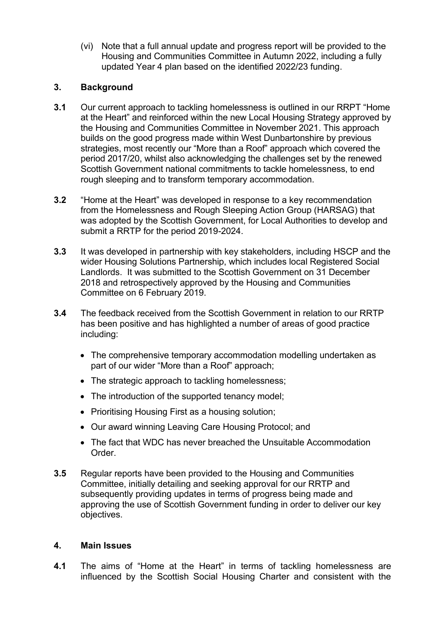(vi) Note that a full annual update and progress report will be provided to the Housing and Communities Committee in Autumn 2022, including a fully updated Year 4 plan based on the identified 2022/23 funding.

# **3. Background**

- **3.1** Our current approach to tackling homelessness is outlined in our RRPT "Home at the Heart" and reinforced within the new Local Housing Strategy approved by the Housing and Communities Committee in November 2021. This approach builds on the good progress made within West Dunbartonshire by previous strategies, most recently our "More than a Roof" approach which covered the period 2017/20, whilst also acknowledging the challenges set by the renewed Scottish Government national commitments to tackle homelessness, to end rough sleeping and to transform temporary accommodation.
- **3.2** "Home at the Heart" was developed in response to a key recommendation from the Homelessness and Rough Sleeping Action Group (HARSAG) that was adopted by the Scottish Government, for Local Authorities to develop and submit a RRTP for the period 2019-2024.
- **3.3** It was developed in partnership with key stakeholders, including HSCP and the wider Housing Solutions Partnership, which includes local Registered Social Landlords. It was submitted to the Scottish Government on 31 December 2018 and retrospectively approved by the Housing and Communities Committee on 6 February 2019.
- **3.4** The feedback received from the Scottish Government in relation to our RRTP has been positive and has highlighted a number of areas of good practice including:
	- The comprehensive temporary accommodation modelling undertaken as part of our wider "More than a Roof" approach;
	- The strategic approach to tackling homelessness;
	- The introduction of the supported tenancy model;
	- Prioritising Housing First as a housing solution;
	- Our award winning Leaving Care Housing Protocol; and
	- The fact that WDC has never breached the Unsuitable Accommodation Order.
- **3.5** Regular reports have been provided to the Housing and Communities Committee, initially detailing and seeking approval for our RRTP and subsequently providing updates in terms of progress being made and approving the use of Scottish Government funding in order to deliver our key objectives.

# **4. Main Issues**

**4.1** The aims of "Home at the Heart" in terms of tackling homelessness are influenced by the Scottish Social Housing Charter and consistent with the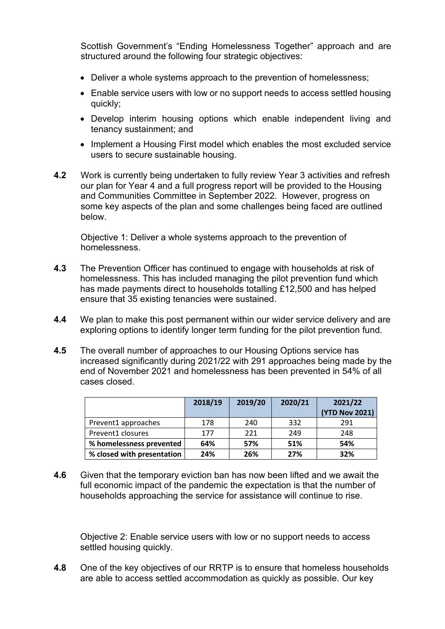Scottish Government's "Ending Homelessness Together" approach and are structured around the following four strategic objectives:

- Deliver a whole systems approach to the prevention of homelessness;
- Enable service users with low or no support needs to access settled housing quickly;
- Develop interim housing options which enable independent living and tenancy sustainment; and
- Implement a Housing First model which enables the most excluded service users to secure sustainable housing.
- **4.2** Work is currently being undertaken to fully review Year 3 activities and refresh our plan for Year 4 and a full progress report will be provided to the Housing and Communities Committee in September 2022. However, progress on some key aspects of the plan and some challenges being faced are outlined below.

 Objective 1: Deliver a whole systems approach to the prevention of homelessness.

- **4.3** The Prevention Officer has continued to engage with households at risk of homelessness. This has included managing the pilot prevention fund which has made payments direct to households totalling £12,500 and has helped ensure that 35 existing tenancies were sustained.
- **4.4** We plan to make this post permanent within our wider service delivery and are exploring options to identify longer term funding for the pilot prevention fund.
- **4.5** The overall number of approaches to our Housing Options service has increased significantly during 2021/22 with 291 approaches being made by the end of November 2021 and homelessness has been prevented in 54% of all cases closed.

|                            | 2018/19 | 2019/20 | 2020/21 | 2021/22        |  |
|----------------------------|---------|---------|---------|----------------|--|
|                            |         |         |         | (YTD Nov 2021) |  |
| Prevent1 approaches        | 178     | 240     | 332     | 291            |  |
| Prevent1 closures          | 177     | 221     | 249     | 248            |  |
| % homelessness prevented   | 64%     | 57%     | 51%     | 54%            |  |
| % closed with presentation | 24%     | 26%     | 27%     | 32%            |  |

**4.6** Given that the temporary eviction ban has now been lifted and we await the full economic impact of the pandemic the expectation is that the number of households approaching the service for assistance will continue to rise.

Objective 2: Enable service users with low or no support needs to access settled housing quickly.

**4.8** One of the key objectives of our RRTP is to ensure that homeless households are able to access settled accommodation as quickly as possible. Our key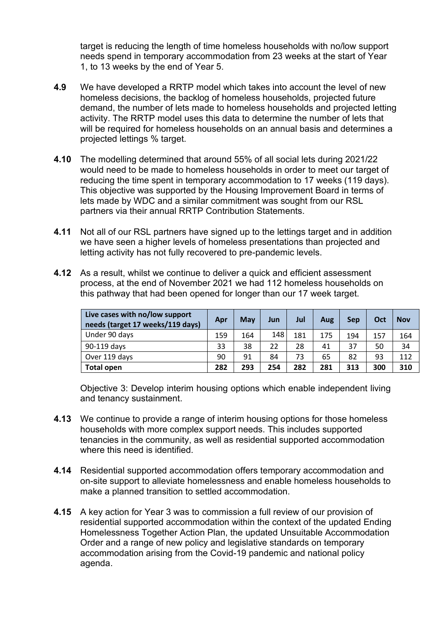target is reducing the length of time homeless households with no/low support needs spend in temporary accommodation from 23 weeks at the start of Year 1, to 13 weeks by the end of Year 5.

- **4.9** We have developed a RRTP model which takes into account the level of new homeless decisions, the backlog of homeless households, projected future demand, the number of lets made to homeless households and projected letting activity. The RRTP model uses this data to determine the number of lets that will be required for homeless households on an annual basis and determines a projected lettings % target.
- **4.10** The modelling determined that around 55% of all social lets during 2021/22 would need to be made to homeless households in order to meet our target of reducing the time spent in temporary accommodation to 17 weeks (119 days). This objective was supported by the Housing Improvement Board in terms of lets made by WDC and a similar commitment was sought from our RSL partners via their annual RRTP Contribution Statements.
- **4.11** Not all of our RSL partners have signed up to the lettings target and in addition we have seen a higher levels of homeless presentations than projected and letting activity has not fully recovered to pre-pandemic levels.
- **4.12** As a result, whilst we continue to deliver a quick and efficient assessment process, at the end of November 2021 we had 112 homeless households on this pathway that had been opened for longer than our 17 week target.

| Live cases with no/low support<br>needs (target 17 weeks/119 days) | Apr | May | Jun | Jul | Aug | <b>Sep</b> | Oct | <b>Nov</b> |
|--------------------------------------------------------------------|-----|-----|-----|-----|-----|------------|-----|------------|
| Under 90 days                                                      | 159 | 164 | 148 | 181 | 175 | 194        | 157 | 164        |
| 90-119 days                                                        | 33  | 38  | 22  | 28  | 41  | 37         | 50  | 34         |
| Over 119 days                                                      | 90  | 91  | 84  | 73  | 65  | 82         | 93  | 112        |
| <b>Total open</b>                                                  | 282 | 293 | 254 | 282 | 281 | 313        | 300 | 310        |

Objective 3: Develop interim housing options which enable independent living and tenancy sustainment.

- **4.13** We continue to provide a range of interim housing options for those homeless households with more complex support needs. This includes supported tenancies in the community, as well as residential supported accommodation where this need is identified.
- **4.14** Residential supported accommodation offers temporary accommodation and on-site support to alleviate homelessness and enable homeless households to make a planned transition to settled accommodation.
- **4.15** A key action for Year 3 was to commission a full review of our provision of residential supported accommodation within the context of the updated Ending Homelessness Together Action Plan, the updated Unsuitable Accommodation Order and a range of new policy and legislative standards on temporary accommodation arising from the Covid-19 pandemic and national policy agenda.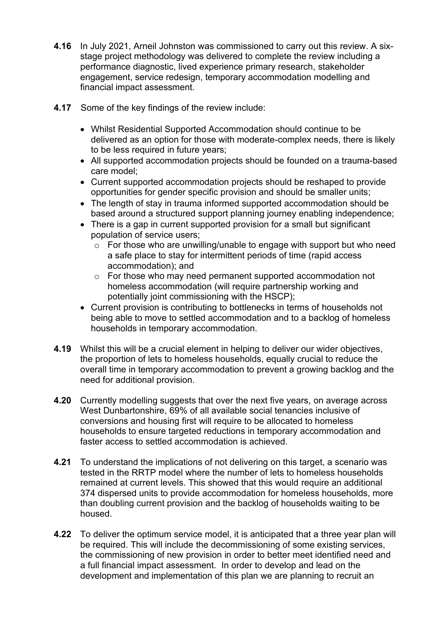- **4.16** In July 2021, Arneil Johnston was commissioned to carry out this review. A sixstage project methodology was delivered to complete the review including a performance diagnostic, lived experience primary research, stakeholder engagement, service redesign, temporary accommodation modelling and financial impact assessment.
- **4.17** Some of the key findings of the review include:
	- Whilst Residential Supported Accommodation should continue to be delivered as an option for those with moderate-complex needs, there is likely to be less required in future years;
	- All supported accommodation projects should be founded on a trauma-based care model;
	- Current supported accommodation projects should be reshaped to provide opportunities for gender specific provision and should be smaller units;
	- The length of stay in trauma informed supported accommodation should be based around a structured support planning journey enabling independence;
	- There is a gap in current supported provision for a small but significant population of service users;
		- o For those who are unwilling/unable to engage with support but who need a safe place to stay for intermittent periods of time (rapid access accommodation); and
		- o For those who may need permanent supported accommodation not homeless accommodation (will require partnership working and potentially joint commissioning with the HSCP);
	- Current provision is contributing to bottlenecks in terms of households not being able to move to settled accommodation and to a backlog of homeless households in temporary accommodation.
- **4.19** Whilst this will be a crucial element in helping to deliver our wider objectives, the proportion of lets to homeless households, equally crucial to reduce the overall time in temporary accommodation to prevent a growing backlog and the need for additional provision.
- **4.20** Currently modelling suggests that over the next five years, on average across West Dunbartonshire, 69% of all available social tenancies inclusive of conversions and housing first will require to be allocated to homeless households to ensure targeted reductions in temporary accommodation and faster access to settled accommodation is achieved.
- **4.21** To understand the implications of not delivering on this target, a scenario was tested in the RRTP model where the number of lets to homeless households remained at current levels. This showed that this would require an additional 374 dispersed units to provide accommodation for homeless households, more than doubling current provision and the backlog of households waiting to be housed.
- **4.22** To deliver the optimum service model, it is anticipated that a three year plan will be required. This will include the decommissioning of some existing services, the commissioning of new provision in order to better meet identified need and a full financial impact assessment. In order to develop and lead on the development and implementation of this plan we are planning to recruit an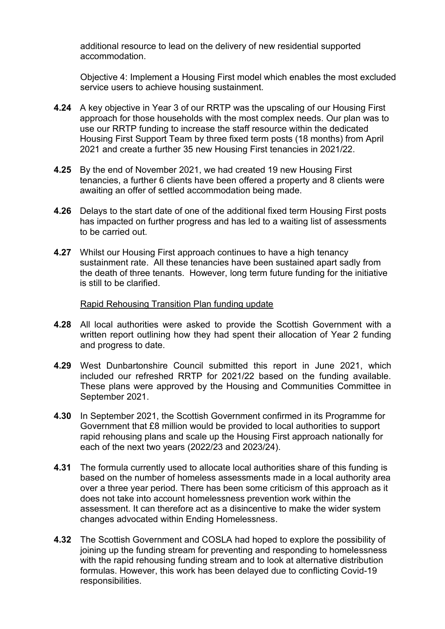additional resource to lead on the delivery of new residential supported accommodation.

Objective 4: Implement a Housing First model which enables the most excluded service users to achieve housing sustainment.

- **4.24** A key objective in Year 3 of our RRTP was the upscaling of our Housing First approach for those households with the most complex needs. Our plan was to use our RRTP funding to increase the staff resource within the dedicated Housing First Support Team by three fixed term posts (18 months) from April 2021 and create a further 35 new Housing First tenancies in 2021/22.
- **4.25** By the end of November 2021, we had created 19 new Housing First tenancies, a further 6 clients have been offered a property and 8 clients were awaiting an offer of settled accommodation being made.
- **4.26** Delays to the start date of one of the additional fixed term Housing First posts has impacted on further progress and has led to a waiting list of assessments to be carried out.
- **4.27** Whilst our Housing First approach continues to have a high tenancy sustainment rate. All these tenancies have been sustained apart sadly from the death of three tenants. However, long term future funding for the initiative is still to be clarified.

#### Rapid Rehousing Transition Plan funding update

- **4.28** All local authorities were asked to provide the Scottish Government with a written report outlining how they had spent their allocation of Year 2 funding and progress to date.
- **4.29** West Dunbartonshire Council submitted this report in June 2021, which included our refreshed RRTP for 2021/22 based on the funding available. These plans were approved by the Housing and Communities Committee in September 2021.
- **4.30** In September 2021, the Scottish Government confirmed in its Programme for Government that £8 million would be provided to local authorities to support rapid rehousing plans and scale up the Housing First approach nationally for each of the next two years (2022/23 and 2023/24).
- **4.31** The formula currently used to allocate local authorities share of this funding is based on the number of homeless assessments made in a local authority area over a three year period. There has been some criticism of this approach as it does not take into account homelessness prevention work within the assessment. It can therefore act as a disincentive to make the wider system changes advocated within Ending Homelessness.
- **4.32** The Scottish Government and COSLA had hoped to explore the possibility of joining up the funding stream for preventing and responding to homelessness with the rapid rehousing funding stream and to look at alternative distribution formulas. However, this work has been delayed due to conflicting Covid-19 responsibilities.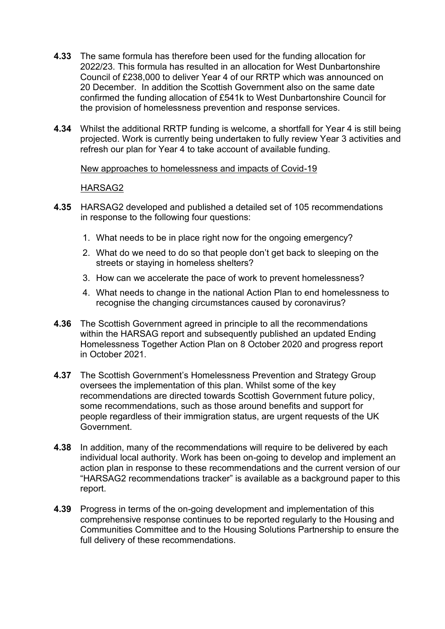- **4.33** The same formula has therefore been used for the funding allocation for 2022/23. This formula has resulted in an allocation for West Dunbartonshire Council of £238,000 to deliver Year 4 of our RRTP which was announced on 20 December. In addition the Scottish Government also on the same date confirmed the funding allocation of £541k to West Dunbartonshire Council for the provision of homelessness prevention and response services.
- **4.34** Whilst the additional RRTP funding is welcome, a shortfall for Year 4 is still being projected. Work is currently being undertaken to fully review Year 3 activities and refresh our plan for Year 4 to take account of available funding.

#### New approaches to homelessness and impacts of Covid-19

#### HARSAG2

- **4.35** HARSAG2 developed and published a detailed set of 105 recommendations in response to the following four questions:
	- 1. What needs to be in place right now for the ongoing emergency?
	- 2. What do we need to do so that people don't get back to sleeping on the streets or staying in homeless shelters?
	- 3. How can we accelerate the pace of work to prevent homelessness?
	- 4. What needs to change in the national Action Plan to end homelessness to recognise the changing circumstances caused by coronavirus?
- **4.36** The Scottish Government agreed in principle to all the recommendations within the HARSAG report and subsequently published an updated Ending Homelessness Together Action Plan on 8 October 2020 and progress report in October 2021.
- **4.37** The Scottish Government's Homelessness Prevention and Strategy Group oversees the implementation of this plan. Whilst some of the key recommendations are directed towards Scottish Government future policy, some recommendations, such as those around benefits and support for people regardless of their immigration status, are urgent requests of the UK Government.
- **4.38** In addition, many of the recommendations will require to be delivered by each individual local authority. Work has been on-going to develop and implement an action plan in response to these recommendations and the current version of our "HARSAG2 recommendations tracker" is available as a background paper to this report.
- **4.39** Progress in terms of the on-going development and implementation of this comprehensive response continues to be reported regularly to the Housing and Communities Committee and to the Housing Solutions Partnership to ensure the full delivery of these recommendations.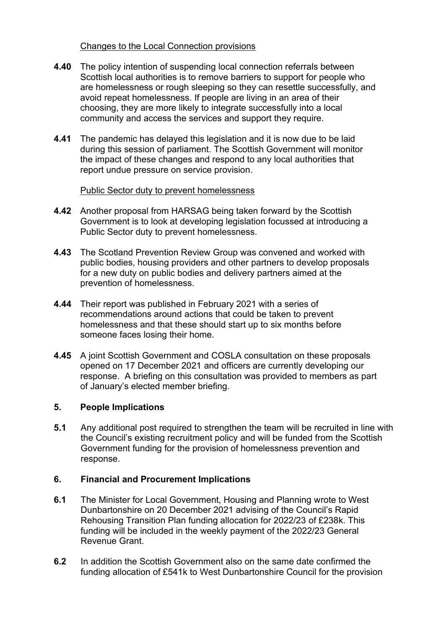## Changes to the Local Connection provisions

- **4.40** The policy intention of suspending local connection referrals between Scottish local authorities is to remove barriers to support for people who are homelessness or rough sleeping so they can resettle successfully, and avoid repeat homelessness. If people are living in an area of their choosing, they are more likely to integrate successfully into a local community and access the services and support they require.
- **4.41** The pandemic has delayed this legislation and it is now due to be laid during this session of parliament. The Scottish Government will monitor the impact of these changes and respond to any local authorities that report undue pressure on service provision.

## Public Sector duty to prevent homelessness

- **4.42** Another proposal from HARSAG being taken forward by the Scottish Government is to look at developing legislation focussed at introducing a Public Sector duty to prevent homelessness.
- **4.43** The Scotland Prevention Review Group was convened and worked with public bodies, housing providers and other partners to develop proposals for a new duty on public bodies and delivery partners aimed at the prevention of homelessness.
- **4.44** Their report was published in February 2021 with a series of recommendations around actions that could be taken to prevent homelessness and that these should start up to six months before someone faces losing their home.
- **4.45** A joint Scottish Government and COSLA consultation on these proposals opened on 17 December 2021 and officers are currently developing our response. A briefing on this consultation was provided to members as part of January's elected member briefing.

# **5. People Implications**

**5.1** Any additional post required to strengthen the team will be recruited in line with the Council's existing recruitment policy and will be funded from the Scottish Government funding for the provision of homelessness prevention and response.

# **6. Financial and Procurement Implications**

- **6.1** The Minister for Local Government, Housing and Planning wrote to West Dunbartonshire on 20 December 2021 advising of the Council's Rapid Rehousing Transition Plan funding allocation for 2022/23 of £238k. This funding will be included in the weekly payment of the 2022/23 General Revenue Grant.
- **6.2** In addition the Scottish Government also on the same date confirmed the funding allocation of £541k to West Dunbartonshire Council for the provision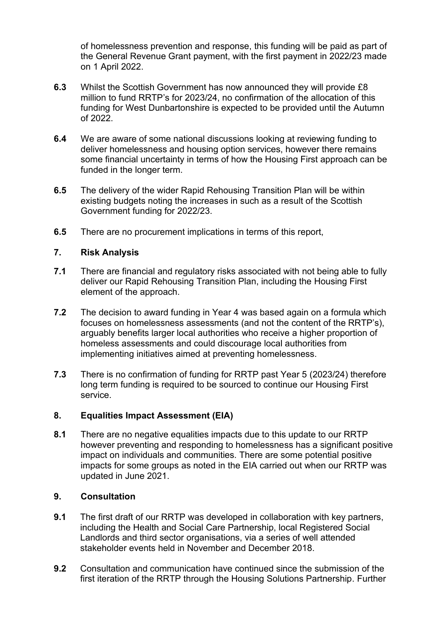of homelessness prevention and response, this funding will be paid as part of the General Revenue Grant payment, with the first payment in 2022/23 made on 1 April 2022.

- **6.3** Whilst the Scottish Government has now announced they will provide £8 million to fund RRTP's for 2023/24, no confirmation of the allocation of this funding for West Dunbartonshire is expected to be provided until the Autumn of 2022.
- **6.4** We are aware of some national discussions looking at reviewing funding to deliver homelessness and housing option services, however there remains some financial uncertainty in terms of how the Housing First approach can be funded in the longer term.
- **6.5** The delivery of the wider Rapid Rehousing Transition Plan will be within existing budgets noting the increases in such as a result of the Scottish Government funding for 2022/23.
- **6.5** There are no procurement implications in terms of this report,

#### **7. Risk Analysis**

- **7.1** There are financial and regulatory risks associated with not being able to fully deliver our Rapid Rehousing Transition Plan, including the Housing First element of the approach.
- **7.2** The decision to award funding in Year 4 was based again on a formula which focuses on homelessness assessments (and not the content of the RRTP's), arguably benefits larger local authorities who receive a higher proportion of homeless assessments and could discourage local authorities from implementing initiatives aimed at preventing homelessness.
- **7.3** There is no confirmation of funding for RRTP past Year 5 (2023/24) therefore long term funding is required to be sourced to continue our Housing First service.

#### **8. Equalities Impact Assessment (EIA)**

**8.1** There are no negative equalities impacts due to this update to our RRTP however preventing and responding to homelessness has a significant positive impact on individuals and communities. There are some potential positive impacts for some groups as noted in the EIA carried out when our RRTP was updated in June 2021.

#### **9. Consultation**

- **9.1** The first draft of our RRTP was developed in collaboration with key partners, including the Health and Social Care Partnership, local Registered Social Landlords and third sector organisations, via a series of well attended stakeholder events held in November and December 2018.
- **9.2** Consultation and communication have continued since the submission of the first iteration of the RRTP through the Housing Solutions Partnership. Further